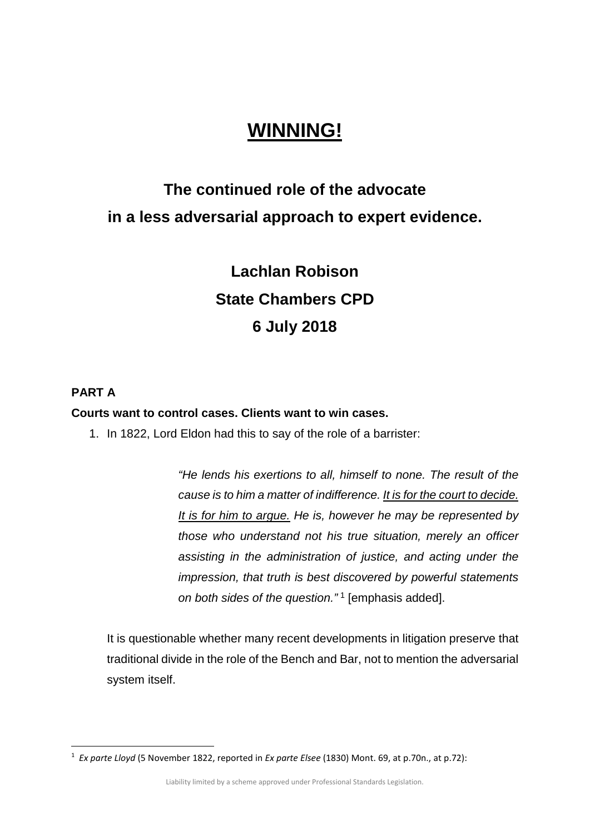## **WINNING!**

## **The continued role of the advocate in a less adversarial approach to expert evidence.**

# **Lachlan Robison State Chambers CPD 6 July 2018**

## **PART A**

#### **Courts want to control cases. Clients want to win cases.**

1. In 1822, Lord Eldon had this to say of the role of a barrister:

*"He lends his exertions to all, himself to none. The result of the cause is to him a matter of indifference. It is for the court to decide. It is for him to argue. He is, however he may be represented by those who understand not his true situation, merely an officer assisting in the administration of justice, and acting under the impression, that truth is best discovered by powerful statements on both sides of the question."* [1](#page-0-0) [emphasis added].

It is questionable whether many recent developments in litigation preserve that traditional divide in the role of the Bench and Bar, not to mention the adversarial system itself.

<span id="page-0-0"></span> <sup>1</sup> *Ex parte Lloyd* (5 November 1822, reported in *Ex parte Elsee* (1830) Mont. 69, at p.70n., at p.72):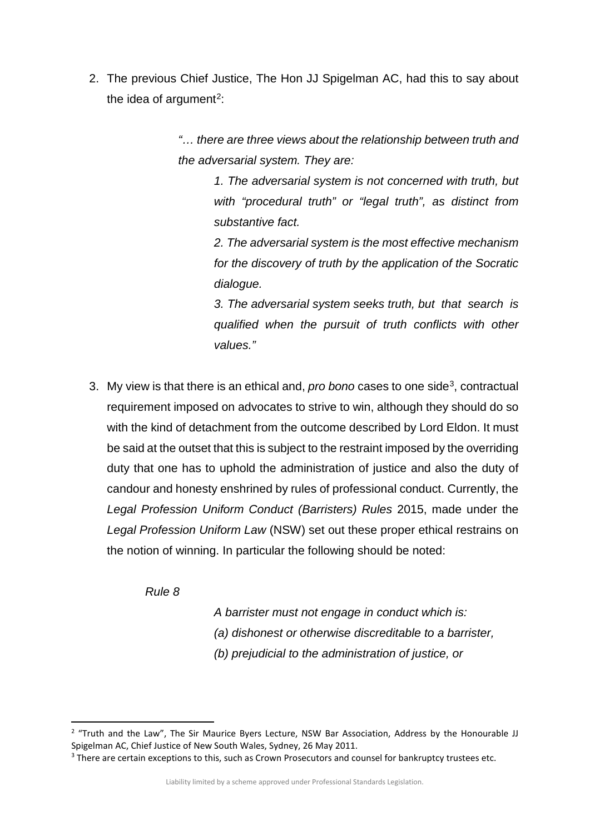2. The previous Chief Justice, The Hon JJ Spigelman AC, had this to say about the idea of argument<sup>[2](#page-1-0)</sup>:

> *"… there are three views about the relationship between truth and the adversarial system. They are:*

> > *1. The adversarial system is not concerned with truth, but with "procedural truth" or "legal truth", as distinct from substantive fact.*

> > *2. The adversarial system is the most effective mechanism for the discovery of truth by the application of the Socratic dialogue.*

> > *3. The adversarial system seeks truth, but that search is qualified when the pursuit of truth conflicts with other values."*

3. My view is that there is an ethical and, *pro bono* cases to one side[3](#page-1-1), contractual requirement imposed on advocates to strive to win, although they should do so with the kind of detachment from the outcome described by Lord Eldon. It must be said at the outset that this is subject to the restraint imposed by the overriding duty that one has to uphold the administration of justice and also the duty of candour and honesty enshrined by rules of professional conduct. Currently, the *Legal Profession Uniform Conduct (Barristers) Rules* 2015, made under the *Legal Profession Uniform Law* (NSW) set out these proper ethical restrains on the notion of winning. In particular the following should be noted:

*Rule 8*

*A barrister must not engage in conduct which is: (a) dishonest or otherwise discreditable to a barrister, (b) prejudicial to the administration of justice, or*

<span id="page-1-0"></span> $2$  "Truth and the Law", The Sir Maurice Byers Lecture, NSW Bar Association, Address by the Honourable JJ Spigelman AC, Chief Justice of New South Wales, Sydney, 26 May 2011.

<span id="page-1-1"></span><sup>&</sup>lt;sup>3</sup> There are certain exceptions to this, such as Crown Prosecutors and counsel for bankruptcy trustees etc.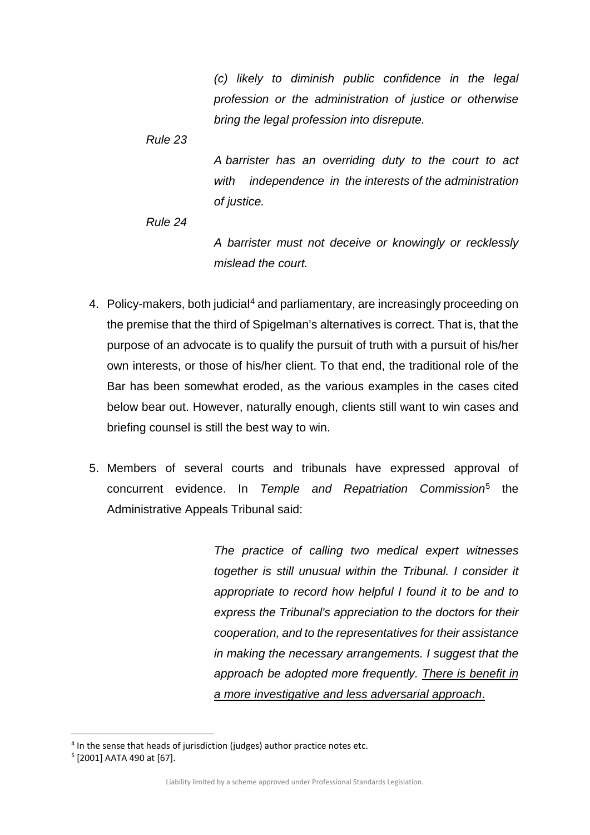*(c) likely to diminish public confidence in the legal profession or the administration of justice or otherwise bring the legal profession into disrepute.*

*Rule 23*

*A barrister has an overriding duty to the court to act with independence in the interests of the administration of justice.*

*Rule 24*

*A barrister must not deceive or knowingly or recklessly mislead the court.*

- [4](#page-2-0). Policy-makers, both judicial<sup>4</sup> and parliamentary, are increasingly proceeding on the premise that the third of Spigelman's alternatives is correct. That is, that the purpose of an advocate is to qualify the pursuit of truth with a pursuit of his/her own interests, or those of his/her client. To that end, the traditional role of the Bar has been somewhat eroded, as the various examples in the cases cited below bear out. However, naturally enough, clients still want to win cases and briefing counsel is still the best way to win.
- 5. Members of several courts and tribunals have expressed approval of concurrent evidence. In *Temple and Repatriation Commission*[5](#page-2-1) the Administrative Appeals Tribunal said:

*The practice of calling two medical expert witnesses together is still unusual within the Tribunal. I consider it appropriate to record how helpful I found it to be and to express the Tribunal's appreciation to the doctors for their cooperation, and to the representatives for their assistance in making the necessary arrangements. I suggest that the approach be adopted more frequently. There is benefit in a more investigative and less adversarial approach*.

<span id="page-2-0"></span><sup>&</sup>lt;sup>4</sup> In the sense that heads of jurisdiction (judges) author practice notes etc.

<span id="page-2-1"></span><sup>5</sup> [2001] AATA 490 at [67].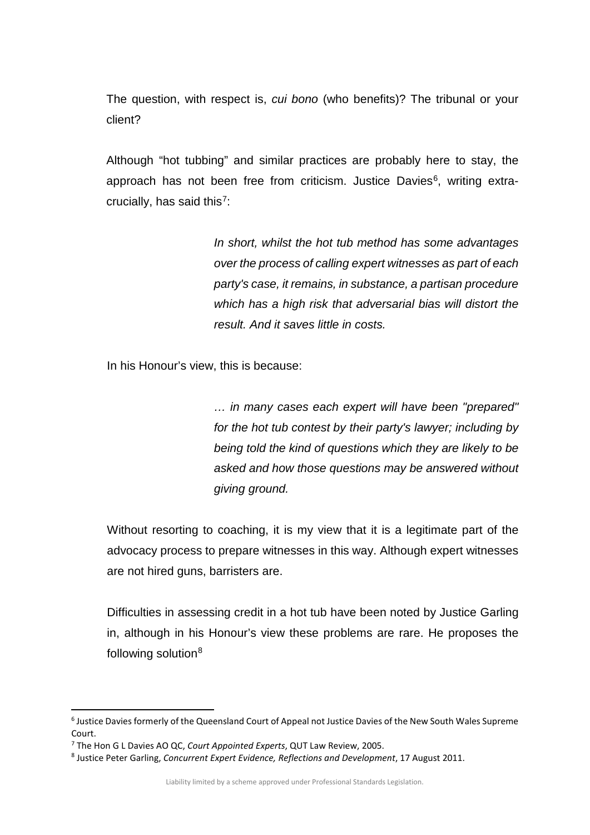The question, with respect is, *cui bono* (who benefits)? The tribunal or your client?

Although "hot tubbing" and similar practices are probably here to stay, the approach has not been free from criticism. Justice Davies<sup>6</sup>, writing extra-crucially, has said this<sup>[7](#page-3-1)</sup>:

> *In short, whilst the hot tub method has some advantages over the process of calling expert witnesses as part of each party's case, it remains, in substance, a partisan procedure which has a high risk that adversarial bias will distort the result. And it saves little in costs.*

In his Honour's view, this is because:

*… in many cases each expert will have been "prepared" for the hot tub contest by their party's lawyer; including by being told the kind of questions which they are likely to be asked and how those questions may be answered without giving ground.*

Without resorting to coaching, it is my view that it is a legitimate part of the advocacy process to prepare witnesses in this way. Although expert witnesses are not hired guns, barristers are.

Difficulties in assessing credit in a hot tub have been noted by Justice Garling in, although in his Honour's view these problems are rare. He proposes the following solution[8](#page-3-2)

<span id="page-3-0"></span> <sup>6</sup> Justice Davies formerly of the Queensland Court of Appeal not Justice Davies of the New South Wales Supreme Court.

<span id="page-3-1"></span><sup>7</sup> The Hon G L Davies AO QC, *Court Appointed Experts*, QUT Law Review, 2005.

<span id="page-3-2"></span><sup>8</sup> Justice Peter Garling, *Concurrent Expert Evidence, Reflections and Development*, 17 August 2011.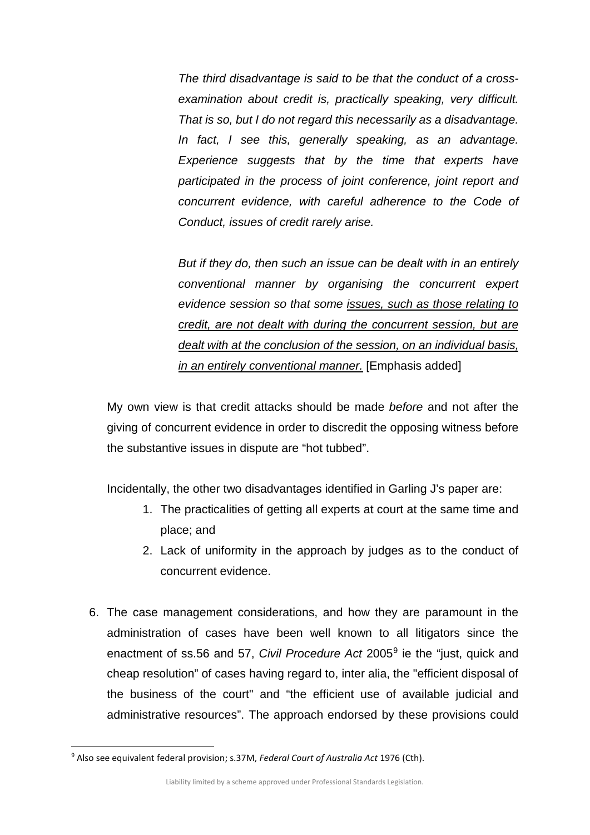*The third disadvantage is said to be that the conduct of a crossexamination about credit is, practically speaking, very difficult. That is so, but I do not regard this necessarily as a disadvantage. In fact, I see this, generally speaking, as an advantage. Experience suggests that by the time that experts have participated in the process of joint conference, joint report and concurrent evidence, with careful adherence to the Code of Conduct, issues of credit rarely arise.* 

*But if they do, then such an issue can be dealt with in an entirely conventional manner by organising the concurrent expert evidence session so that some issues, such as those relating to credit, are not dealt with during the concurrent session, but are dealt with at the conclusion of the session, on an individual basis, in an entirely conventional manner.* [Emphasis added]

My own view is that credit attacks should be made *before* and not after the giving of concurrent evidence in order to discredit the opposing witness before the substantive issues in dispute are "hot tubbed".

Incidentally, the other two disadvantages identified in Garling J's paper are:

- 1. The practicalities of getting all experts at court at the same time and place; and
- 2. Lack of uniformity in the approach by judges as to the conduct of concurrent evidence.
- 6. The case management considerations, and how they are paramount in the administration of cases have been well known to all litigators since the enactment of ss.56 and 57, *Civil Procedure Act* 2005[9](#page-4-0) ie the "just, quick and cheap resolution" of cases having regard to, inter alia, the "efficient disposal of the business of the court" and "the efficient use of available judicial and administrative resources". The approach endorsed by these provisions could

<span id="page-4-0"></span> <sup>9</sup> Also see equivalent federal provision; s.37M, *Federal Court of Australia Act* 1976 (Cth).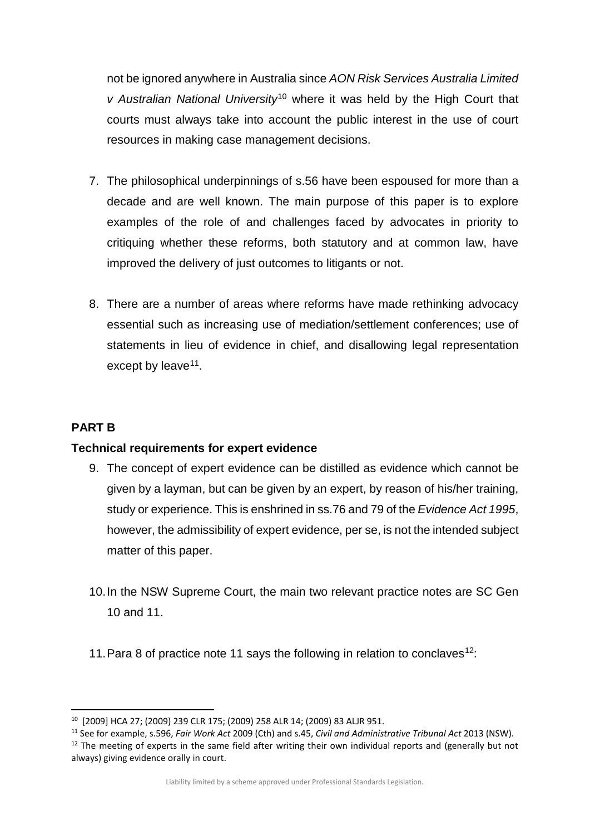not be ignored anywhere in Australia since *AON Risk Services Australia Limited v Australian National University*[10](#page-5-0) where it was held by the High Court that courts must always take into account the public interest in the use of court resources in making case management decisions.

- 7. The philosophical underpinnings of s.56 have been espoused for more than a decade and are well known. The main purpose of this paper is to explore examples of the role of and challenges faced by advocates in priority to critiquing whether these reforms, both statutory and at common law, have improved the delivery of just outcomes to litigants or not.
- 8. There are a number of areas where reforms have made rethinking advocacy essential such as increasing use of mediation/settlement conferences; use of statements in lieu of evidence in chief, and disallowing legal representation except by leave<sup>11</sup>.

## **PART B**

## **Technical requirements for expert evidence**

- 9. The concept of expert evidence can be distilled as evidence which cannot be given by a layman, but can be given by an expert, by reason of his/her training, study or experience. This is enshrined in ss.76 and 79 of the *Evidence Act 1995*, however, the admissibility of expert evidence, per se, is not the intended subject matter of this paper.
- 10.In the NSW Supreme Court, the main two relevant practice notes are SC Gen 10 and 11.
- 11. Para 8 of practice note 11 says the following in relation to conclaves<sup>[12](#page-5-2)</sup>:

<span id="page-5-0"></span> <sup>10</sup> [2009] HCA 27; (2009) 239 CLR 175; (2009) 258 ALR 14; (2009) 83 ALJR 951.

<span id="page-5-1"></span><sup>11</sup> See for example, s.596, *Fair Work Act* 2009 (Cth) and s.45, *Civil and Administrative Tribunal Act* 2013 (NSW).

<span id="page-5-2"></span><sup>&</sup>lt;sup>12</sup> The meeting of experts in the same field after writing their own individual reports and (generally but not always) giving evidence orally in court.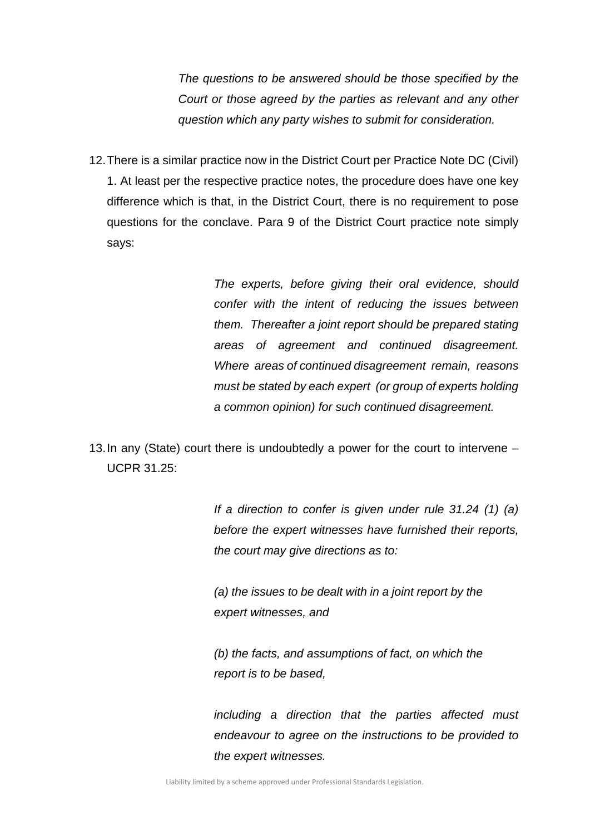*The questions to be answered should be those specified by the Court or those agreed by the parties as relevant and any other question which any party wishes to submit for consideration.*

12.There is a similar practice now in the District Court per Practice Note DC (Civil) 1. At least per the respective practice notes, the procedure does have one key difference which is that, in the District Court, there is no requirement to pose questions for the conclave. Para 9 of the District Court practice note simply says:

> *The experts, before giving their oral evidence, should confer with the intent of reducing the issues between them. Thereafter a joint report should be prepared stating areas of agreement and continued disagreement. Where areas of continued disagreement remain, reasons must be stated by each expert (or group of experts holding a common opinion) for such continued disagreement.*

13.In any (State) court there is undoubtedly a power for the court to intervene – UCPR 31.25:

> *If a direction to confer is given under rule 31.24 (1) (a) before the expert witnesses have furnished their reports, the court may give directions as to:*

*(a) the issues to be dealt with in a joint report by the expert witnesses, and* 

*(b) the facts, and assumptions of fact, on which the report is to be based,* 

*including a direction that the parties affected must endeavour to agree on the instructions to be provided to the expert witnesses.*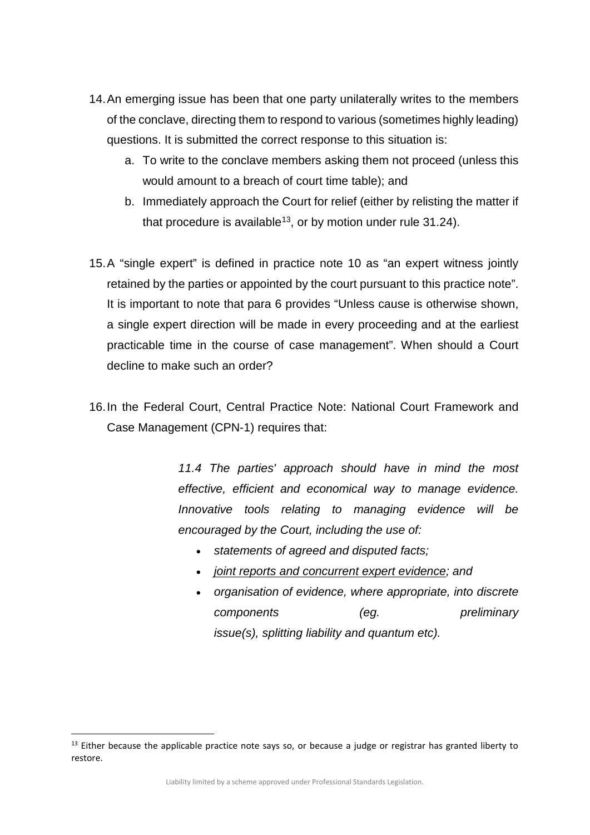- 14.An emerging issue has been that one party unilaterally writes to the members of the conclave, directing them to respond to various (sometimes highly leading) questions. It is submitted the correct response to this situation is:
	- a. To write to the conclave members asking them not proceed (unless this would amount to a breach of court time table); and
	- b. Immediately approach the Court for relief (either by relisting the matter if that procedure is available<sup>[13](#page-7-0)</sup>, or by motion under rule  $31.24$ ).
- 15.A "single expert" is defined in practice note 10 as "an expert witness jointly retained by the parties or appointed by the court pursuant to this practice note". It is important to note that para 6 provides "Unless cause is otherwise shown, a single expert direction will be made in every proceeding and at the earliest practicable time in the course of case management". When should a Court decline to make such an order?
- 16.In the Federal Court, Central Practice Note: National Court Framework and Case Management (CPN-1) requires that:

*11.4 The parties' approach should have in mind the most effective, efficient and economical way to manage evidence. Innovative tools relating to managing evidence will be encouraged by the Court, including the use of:*

- *statements of agreed and disputed facts;*
- *joint reports and concurrent expert evidence; and*
- *organisation of evidence, where appropriate, into discrete components* (eg. preliminary *issue(s), splitting liability and quantum etc).*

<span id="page-7-0"></span><sup>&</sup>lt;sup>13</sup> Either because the applicable practice note says so, or because a judge or registrar has granted liberty to restore.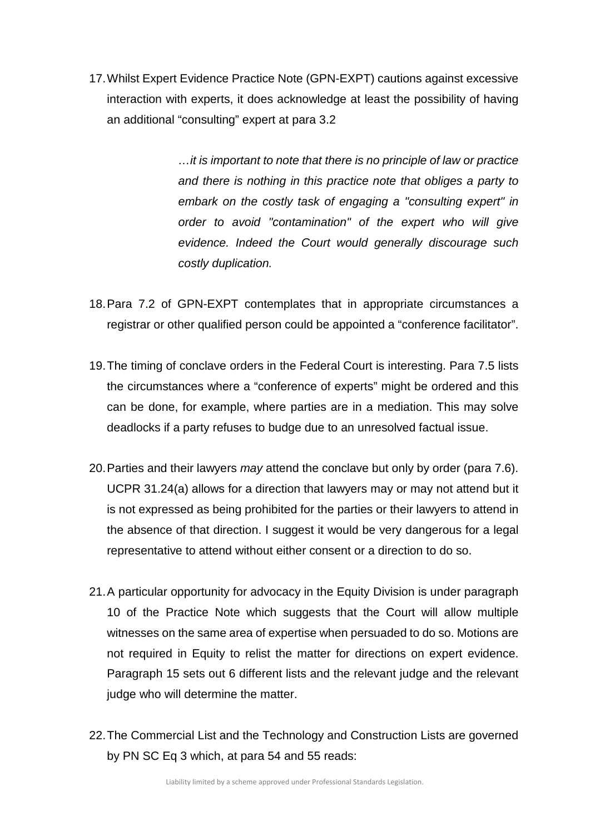17.Whilst Expert Evidence Practice Note (GPN-EXPT) cautions against excessive interaction with experts, it does acknowledge at least the possibility of having an additional "consulting" expert at para 3.2

> *…it is important to note that there is no principle of law or practice and there is nothing in this practice note that obliges a party to embark on the costly task of engaging a "consulting expert" in order to avoid "contamination" of the expert who will give evidence. Indeed the Court would generally discourage such costly duplication.*

- 18.Para 7.2 of GPN-EXPT contemplates that in appropriate circumstances a registrar or other qualified person could be appointed a "conference facilitator".
- 19.The timing of conclave orders in the Federal Court is interesting. Para 7.5 lists the circumstances where a "conference of experts" might be ordered and this can be done, for example, where parties are in a mediation. This may solve deadlocks if a party refuses to budge due to an unresolved factual issue.
- 20.Parties and their lawyers *may* attend the conclave but only by order (para 7.6). UCPR 31.24(a) allows for a direction that lawyers may or may not attend but it is not expressed as being prohibited for the parties or their lawyers to attend in the absence of that direction. I suggest it would be very dangerous for a legal representative to attend without either consent or a direction to do so.
- 21. A particular opportunity for advocacy in the Equity Division is under paragraph 10 of the Practice Note which suggests that the Court will allow multiple witnesses on the same area of expertise when persuaded to do so. Motions are not required in Equity to relist the matter for directions on expert evidence. Paragraph 15 sets out 6 different lists and the relevant judge and the relevant judge who will determine the matter.
- 22.The Commercial List and the Technology and Construction Lists are governed by PN SC Eq 3 which, at para 54 and 55 reads: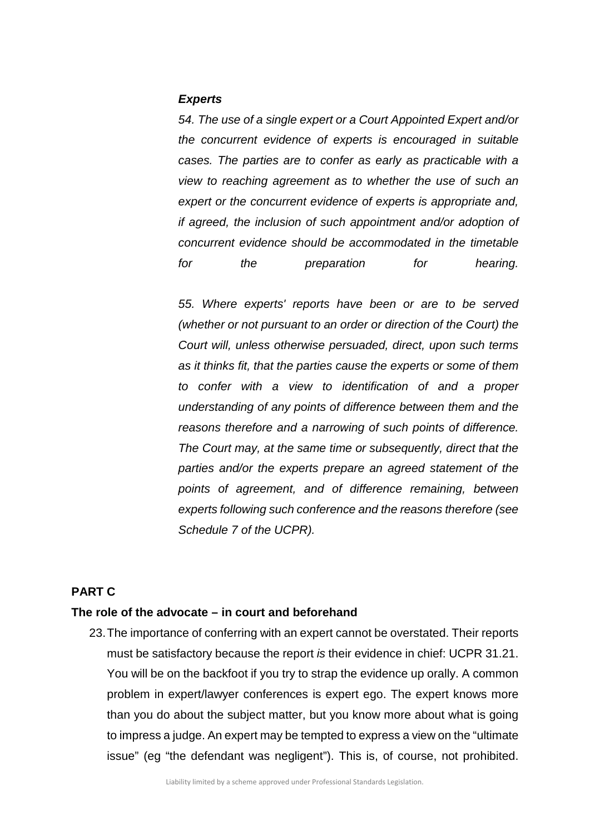#### *Experts*

*54. The use of a single expert or a Court Appointed Expert and/or the concurrent evidence of experts is encouraged in suitable cases. The parties are to confer as early as practicable with a view to reaching agreement as to whether the use of such an expert or the concurrent evidence of experts is appropriate and, if agreed, the inclusion of such appointment and/or adoption of concurrent evidence should be accommodated in the timetable for the preparation for hearing.*

*55. Where experts' reports have been or are to be served (whether or not pursuant to an order or direction of the Court) the Court will, unless otherwise persuaded, direct, upon such terms as it thinks fit, that the parties cause the experts or some of them to confer with a view to identification of and a proper understanding of any points of difference between them and the reasons therefore and a narrowing of such points of difference. The Court may, at the same time or subsequently, direct that the parties and/or the experts prepare an agreed statement of the points of agreement, and of difference remaining, between experts following such conference and the reasons therefore (see Schedule 7 of the UCPR).*

#### **PART C**

#### **The role of the advocate – in court and beforehand**

23.The importance of conferring with an expert cannot be overstated. Their reports must be satisfactory because the report *is* their evidence in chief: UCPR 31.21. You will be on the backfoot if you try to strap the evidence up orally. A common problem in expert/lawyer conferences is expert ego. The expert knows more than you do about the subject matter, but you know more about what is going to impress a judge. An expert may be tempted to express a view on the "ultimate issue" (eg "the defendant was negligent"). This is, of course, not prohibited.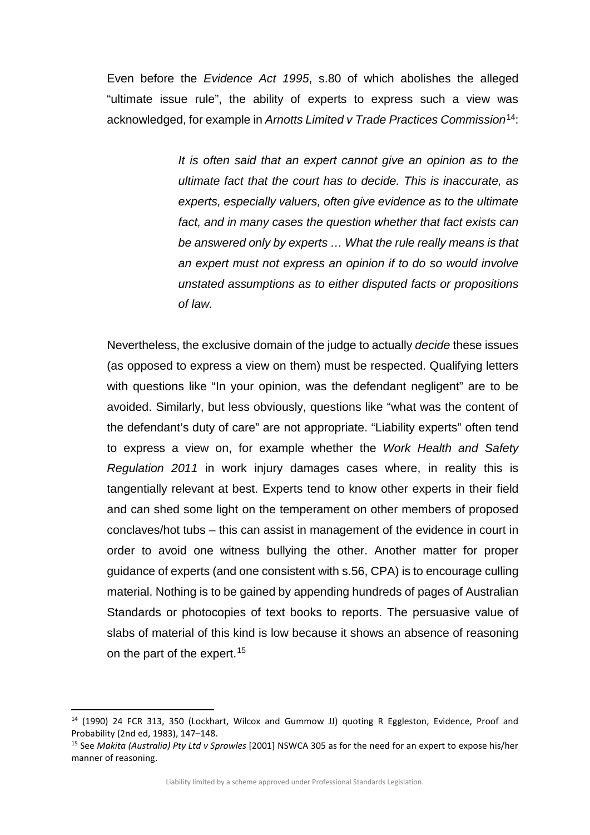Even before the *Evidence Act 1995*, s.80 of which abolishes the alleged "ultimate issue rule", the ability of experts to express such a view was acknowledged, for example in *Arnotts Limited v Trade Practices Commission*[14](#page-10-0):

> *It is often said that an expert cannot give an opinion as to the ultimate fact that the court has to decide. This is inaccurate, as experts, especially valuers, often give evidence as to the ultimate fact, and in many cases the question whether that fact exists can be answered only by experts … What the rule really means is that an expert must not express an opinion if to do so would involve unstated assumptions as to either disputed facts or propositions of law.*

Nevertheless, the exclusive domain of the judge to actually *decide* these issues (as opposed to express a view on them) must be respected. Qualifying letters with questions like "In your opinion, was the defendant negligent" are to be avoided. Similarly, but less obviously, questions like "what was the content of the defendant's duty of care" are not appropriate. "Liability experts" often tend to express a view on, for example whether the *Work Health and Safety Regulation 2011* in work injury damages cases where, in reality this is tangentially relevant at best. Experts tend to know other experts in their field and can shed some light on the temperament on other members of proposed conclaves/hot tubs – this can assist in management of the evidence in court in order to avoid one witness bullying the other. Another matter for proper guidance of experts (and one consistent with s.56, CPA) is to encourage culling material. Nothing is to be gained by appending hundreds of pages of Australian Standards or photocopies of text books to reports. The persuasive value of slabs of material of this kind is low because it shows an absence of reasoning on the part of the expert. [15](#page-10-1)

<span id="page-10-0"></span> <sup>14</sup> (1990) 24 FCR 313, 350 (Lockhart, Wilcox and Gummow JJ) quoting R Eggleston, Evidence, Proof and Probability (2nd ed, 1983), 147–148.

<span id="page-10-1"></span><sup>15</sup> See *Makita (Australia) Pty Ltd v Sprowles* [2001] NSWCA 305 as for the need for an expert to expose his/her manner of reasoning.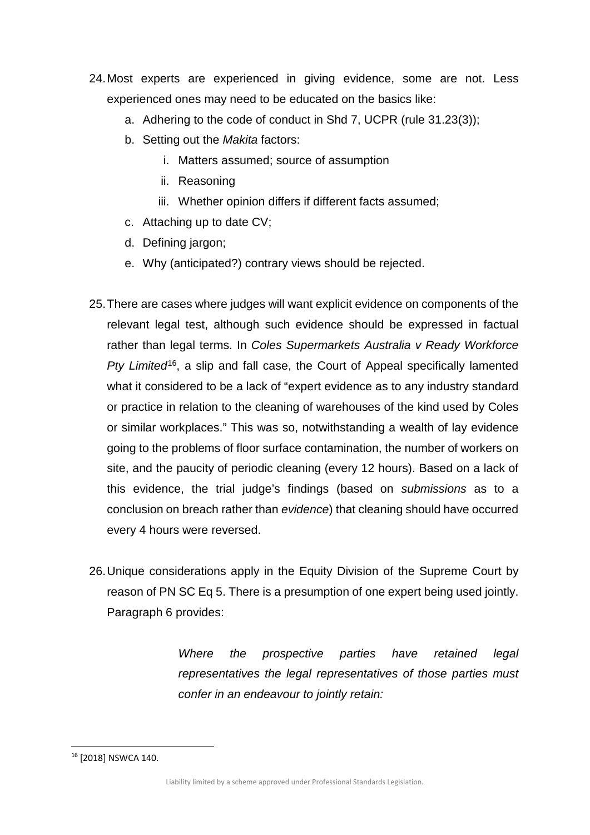- 24.Most experts are experienced in giving evidence, some are not. Less experienced ones may need to be educated on the basics like:
	- a. Adhering to the code of conduct in Shd 7, UCPR (rule 31.23(3));
	- b. Setting out the *Makita* factors:
		- i. Matters assumed; source of assumption
		- ii. Reasoning
		- iii. Whether opinion differs if different facts assumed;
	- c. Attaching up to date CV;
	- d. Defining jargon;
	- e. Why (anticipated?) contrary views should be rejected.
- 25.There are cases where judges will want explicit evidence on components of the relevant legal test, although such evidence should be expressed in factual rather than legal terms. In *Coles Supermarkets Australia v Ready Workforce Pty Limited*[16](#page-11-0), a slip and fall case, the Court of Appeal specifically lamented what it considered to be a lack of "expert evidence as to any industry standard or practice in relation to the cleaning of warehouses of the kind used by Coles or similar workplaces." This was so, notwithstanding a wealth of lay evidence going to the problems of floor surface contamination, the number of workers on site, and the paucity of periodic cleaning (every 12 hours). Based on a lack of this evidence, the trial judge's findings (based on *submissions* as to a conclusion on breach rather than *evidence*) that cleaning should have occurred every 4 hours were reversed.
- 26.Unique considerations apply in the Equity Division of the Supreme Court by reason of PN SC Eq 5. There is a presumption of one expert being used jointly. Paragraph 6 provides:

*Where the prospective parties have retained legal representatives the legal representatives of those parties must confer in an endeavour to jointly retain:* 

<span id="page-11-0"></span> <sup>16</sup> [2018] NSWCA 140.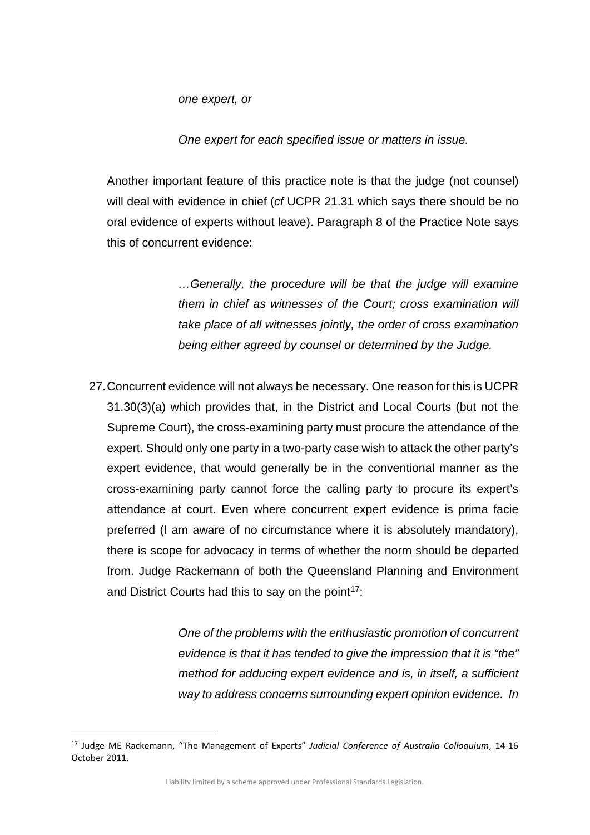*one expert, or* 

*One expert for each specified issue or matters in issue.*

Another important feature of this practice note is that the judge (not counsel) will deal with evidence in chief (*cf* UCPR 21.31 which says there should be no oral evidence of experts without leave). Paragraph 8 of the Practice Note says this of concurrent evidence:

> *…Generally, the procedure will be that the judge will examine them in chief as witnesses of the Court; cross examination will take place of all witnesses jointly, the order of cross examination being either agreed by counsel or determined by the Judge.*

27.Concurrent evidence will not always be necessary. One reason for this is UCPR 31.30(3)(a) which provides that, in the District and Local Courts (but not the Supreme Court), the cross-examining party must procure the attendance of the expert. Should only one party in a two-party case wish to attack the other party's expert evidence, that would generally be in the conventional manner as the cross-examining party cannot force the calling party to procure its expert's attendance at court. Even where concurrent expert evidence is prima facie preferred (I am aware of no circumstance where it is absolutely mandatory), there is scope for advocacy in terms of whether the norm should be departed from. Judge Rackemann of both the Queensland Planning and Environment and District Courts had this to say on the point $17$ :

> *One of the problems with the enthusiastic promotion of concurrent evidence is that it has tended to give the impression that it is "the" method for adducing expert evidence and is, in itself, a sufficient way to address concerns surrounding expert opinion evidence. In*

Liability limited by a scheme approved under Professional Standards Legislation.

<span id="page-12-0"></span> <sup>17</sup> Judge ME Rackemann, "The Management of Experts" *Judicial Conference of Australia Colloquium*, 14-16 October 2011.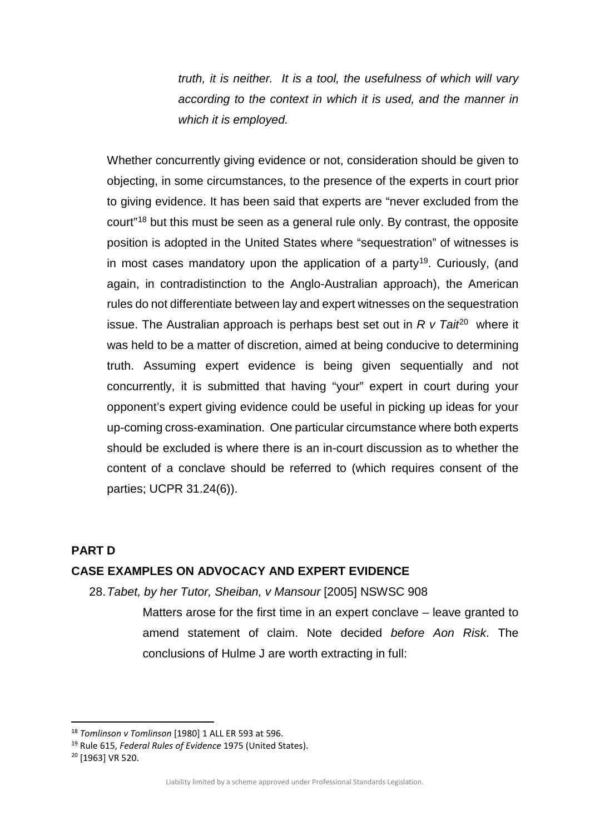*truth, it is neither. It is a tool, the usefulness of which will vary according to the context in which it is used, and the manner in which it is employed.*

Whether concurrently giving evidence or not, consideration should be given to objecting, in some circumstances, to the presence of the experts in court prior to giving evidence. It has been said that experts are "never excluded from the court"[18](#page-13-0) but this must be seen as a general rule only. By contrast, the opposite position is adopted in the United States where "sequestration" of witnesses is in most cases mandatory upon the application of a party<sup>[19](#page-13-1)</sup>. Curiously, (and again, in contradistinction to the Anglo-Australian approach), the American rules do not differentiate between lay and expert witnesses on the sequestration issue. The Australian approach is perhaps best set out in *R v Tait*<sup>[20](#page-13-2)</sup> where it was held to be a matter of discretion, aimed at being conducive to determining truth. Assuming expert evidence is being given sequentially and not concurrently, it is submitted that having "your" expert in court during your opponent's expert giving evidence could be useful in picking up ideas for your up-coming cross-examination. One particular circumstance where both experts should be excluded is where there is an in-court discussion as to whether the content of a conclave should be referred to (which requires consent of the parties; UCPR 31.24(6)).

#### **PART D**

#### **CASE EXAMPLES ON ADVOCACY AND EXPERT EVIDENCE**

28.*Tabet, by her Tutor, Sheiban, v Mansour* [2005] NSWSC 908

Matters arose for the first time in an expert conclave – leave granted to amend statement of claim. Note decided *before Aon Risk*. The conclusions of Hulme J are worth extracting in full:

<span id="page-13-0"></span> <sup>18</sup> *Tomlinson v Tomlinson* [1980] 1 ALL ER 593 at 596.

<span id="page-13-1"></span><sup>&</sup>lt;sup>19</sup> Rule 615, *Federal Rules of Evidence* 1975 (United States).<br><sup>20</sup> [1963] VR 520.

<span id="page-13-2"></span>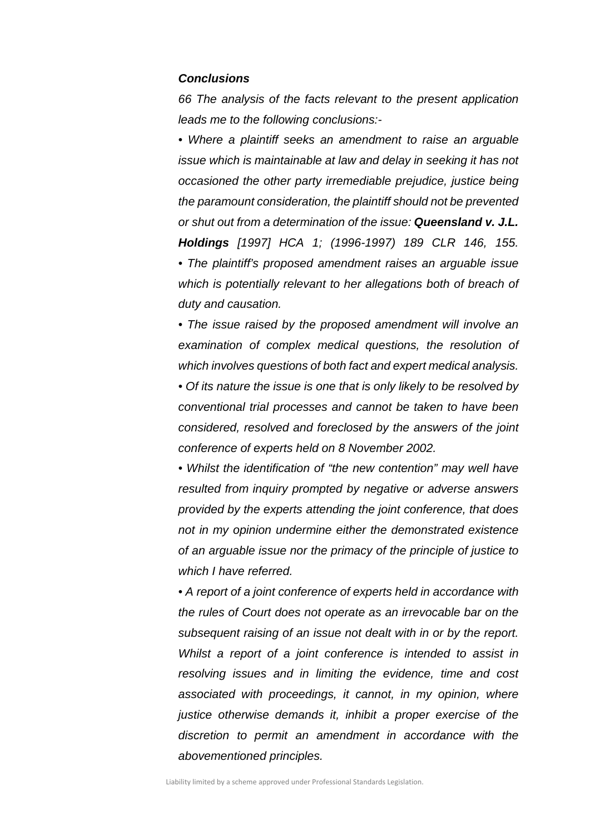#### *Conclusions*

*66 The analysis of the facts relevant to the present application leads me to the following conclusions:-*

*• Where a plaintiff seeks an amendment to raise an arguable issue which is maintainable at law and delay in seeking it has not occasioned the other party irremediable prejudice, justice being the paramount consideration, the plaintiff should not be prevented or shut out from a determination of the issue: Queensland v. J.L. Holdings [1997] HCA 1; (1996-1997) 189 CLR 146, 155. • The plaintiff's proposed amendment raises an arguable issue which is potentially relevant to her allegations both of breach of duty and causation.*

*• The issue raised by the proposed amendment will involve an examination of complex medical questions, the resolution of which involves questions of both fact and expert medical analysis. • Of its nature the issue is one that is only likely to be resolved by conventional trial processes and cannot be taken to have been considered, resolved and foreclosed by the answers of the joint* 

*• Whilst the identification of "the new contention" may well have resulted from inquiry prompted by negative or adverse answers provided by the experts attending the joint conference, that does not in my opinion undermine either the demonstrated existence of an arguable issue nor the primacy of the principle of justice to which I have referred.*

*conference of experts held on 8 November 2002.*

*• A report of a joint conference of experts held in accordance with the rules of Court does not operate as an irrevocable bar on the subsequent raising of an issue not dealt with in or by the report. Whilst a report of a joint conference is intended to assist in resolving issues and in limiting the evidence, time and cost associated with proceedings, it cannot, in my opinion, where justice otherwise demands it, inhibit a proper exercise of the discretion to permit an amendment in accordance with the abovementioned principles.*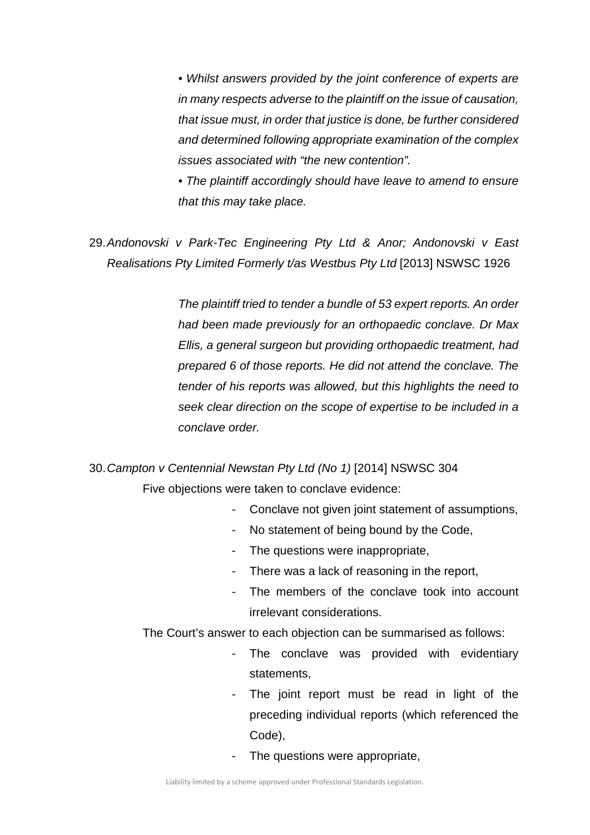*• Whilst answers provided by the joint conference of experts are in many respects adverse to the plaintiff on the issue of causation, that issue must, in order that justice is done, be further considered and determined following appropriate examination of the complex issues associated with "the new contention".*

*• The plaintiff accordingly should have leave to amend to ensure that this may take place.*

29.*Andonovski v Park-Tec Engineering Pty Ltd & Anor; Andonovski v East Realisations Pty Limited Formerly t/as Westbus Pty Ltd* [2013] NSWSC 1926

> *The plaintiff tried to tender a bundle of 53 expert reports. An order had been made previously for an orthopaedic conclave. Dr Max Ellis, a general surgeon but providing orthopaedic treatment, had prepared 6 of those reports. He did not attend the conclave. The tender of his reports was allowed, but this highlights the need to seek clear direction on the scope of expertise to be included in a conclave order.*

30.*Campton v Centennial Newstan Pty Ltd (No 1)* [2014] NSWSC 304 Five objections were taken to conclave evidence:

- Conclave not given joint statement of assumptions,
- No statement of being bound by the Code,
- The questions were inappropriate,
- There was a lack of reasoning in the report,
- The members of the conclave took into account irrelevant considerations.

The Court's answer to each objection can be summarised as follows:

- The conclave was provided with evidentiary statements,
- The joint report must be read in light of the preceding individual reports (which referenced the Code),
- The questions were appropriate,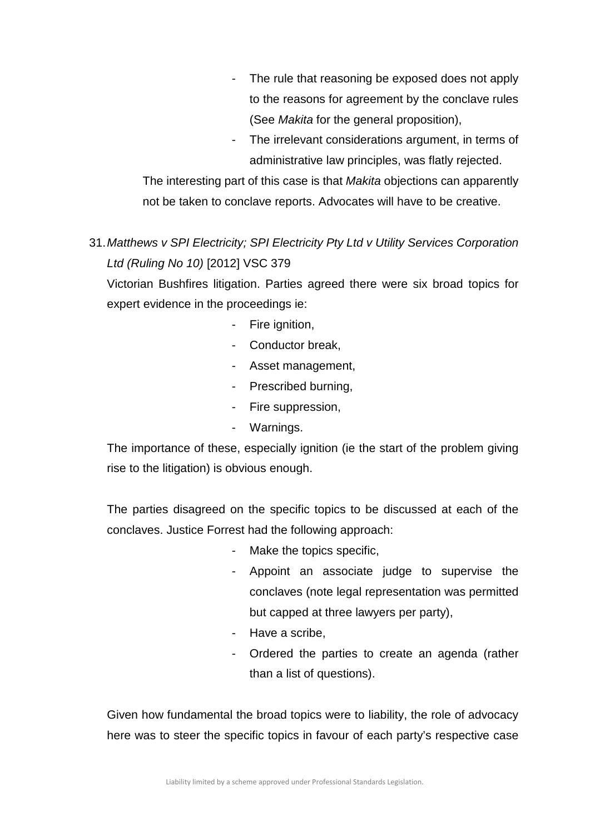- The rule that reasoning be exposed does not apply to the reasons for agreement by the conclave rules (See *Makita* for the general proposition),
- The irrelevant considerations argument, in terms of administrative law principles, was flatly rejected.

The interesting part of this case is that *Makita* objections can apparently not be taken to conclave reports. Advocates will have to be creative.

31.*Matthews v SPI Electricity; SPI Electricity Pty Ltd v Utility Services Corporation Ltd (Ruling No 10)* [2012] VSC 379

Victorian Bushfires litigation. Parties agreed there were six broad topics for expert evidence in the proceedings ie:

- Fire ignition.
- Conductor break.
- Asset management,
- Prescribed burning,
- Fire suppression,
- Warnings.

The importance of these, especially ignition (ie the start of the problem giving rise to the litigation) is obvious enough.

The parties disagreed on the specific topics to be discussed at each of the conclaves. Justice Forrest had the following approach:

- Make the topics specific,
- Appoint an associate judge to supervise the conclaves (note legal representation was permitted but capped at three lawyers per party),
- Have a scribe,
- Ordered the parties to create an agenda (rather than a list of questions).

Given how fundamental the broad topics were to liability, the role of advocacy here was to steer the specific topics in favour of each party's respective case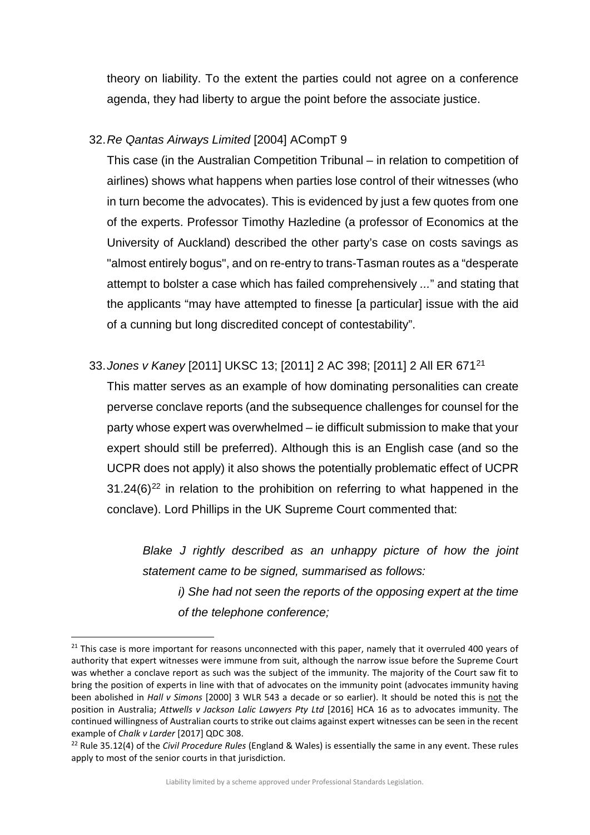theory on liability. To the extent the parties could not agree on a conference agenda, they had liberty to argue the point before the associate justice.

## 32.*Re Qantas Airways Limited* [2004] ACompT 9

This case (in the Australian Competition Tribunal – in relation to competition of airlines) shows what happens when parties lose control of their witnesses (who in turn become the advocates). This is evidenced by just a few quotes from one of the experts. Professor Timothy Hazledine (a professor of Economics at the University of Auckland) described the other party's case on costs savings as "almost entirely bogus", and on re-entry to trans-Tasman routes as a "desperate attempt to bolster a case which has failed comprehensively *...*" and stating that the applicants "may have attempted to finesse [a particular] issue with the aid of a cunning but long discredited concept of contestability".

## 33.*Jones v Kaney* [2011] UKSC 13; [2011] 2 AC 398; [2011] 2 All ER 671[21](#page-17-0)

This matter serves as an example of how dominating personalities can create perverse conclave reports (and the subsequence challenges for counsel for the party whose expert was overwhelmed – ie difficult submission to make that your expert should still be preferred). Although this is an English case (and so the UCPR does not apply) it also shows the potentially problematic effect of UCPR  $31.24(6)^{22}$  $31.24(6)^{22}$  $31.24(6)^{22}$  in relation to the prohibition on referring to what happened in the conclave). Lord Phillips in the UK Supreme Court commented that:

*Blake J rightly described as an unhappy picture of how the joint statement came to be signed, summarised as follows: i) She had not seen the reports of the opposing expert at the time* 

*of the telephone conference;*

<span id="page-17-0"></span><sup>&</sup>lt;sup>21</sup> This case is more important for reasons unconnected with this paper, namely that it overruled 400 years of authority that expert witnesses were immune from suit, although the narrow issue before the Supreme Court was whether a conclave report as such was the subject of the immunity. The majority of the Court saw fit to bring the position of experts in line with that of advocates on the immunity point (advocates immunity having been abolished in *Hall v Simons* [2000] 3 WLR 543 a decade or so earlier). It should be noted this is not the position in Australia; *Attwells v Jackson Lalic Lawyers Pty Ltd* [2016] HCA 16 as to advocates immunity. The continued willingness of Australian courts to strike out claims against expert witnesses can be seen in the recent example of *Chalk v Larder* [2017] QDC 308.

<span id="page-17-1"></span><sup>22</sup> Rule 35.12(4) of the *Civil Procedure Rules* (England & Wales) is essentially the same in any event. These rules apply to most of the senior courts in that jurisdiction.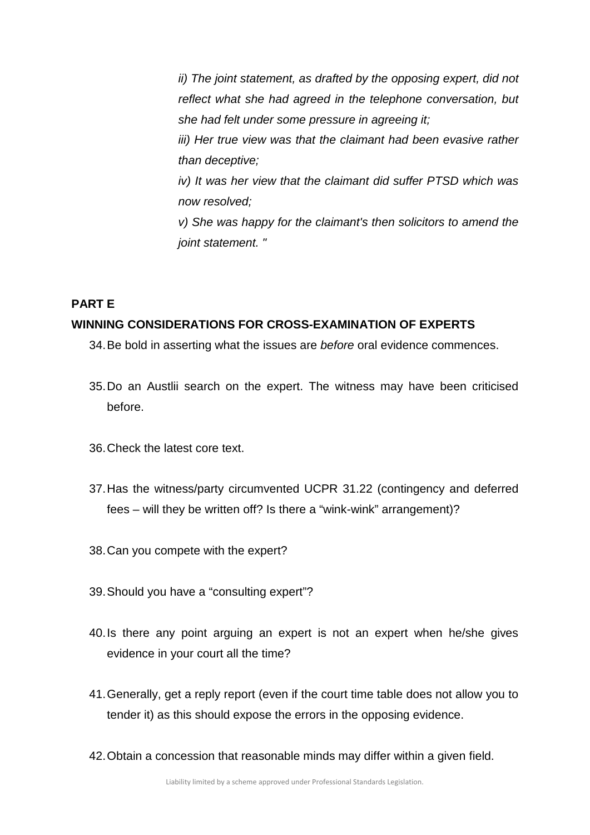*ii) The joint statement, as drafted by the opposing expert, did not reflect what she had agreed in the telephone conversation, but she had felt under some pressure in agreeing it; iii) Her true view was that the claimant had been evasive rather than deceptive; iv) It was her view that the claimant did suffer PTSD which was now resolved; v) She was happy for the claimant's then solicitors to amend the joint statement. "*

## **PART E WINNING CONSIDERATIONS FOR CROSS-EXAMINATION OF EXPERTS**

- 34.Be bold in asserting what the issues are *before* oral evidence commences.
- 35.Do an Austlii search on the expert. The witness may have been criticised before.
- 36.Check the latest core text.
- 37.Has the witness/party circumvented UCPR 31.22 (contingency and deferred fees – will they be written off? Is there a "wink-wink" arrangement)?
- 38.Can you compete with the expert?
- 39.Should you have a "consulting expert"?
- 40.Is there any point arguing an expert is not an expert when he/she gives evidence in your court all the time?
- 41.Generally, get a reply report (even if the court time table does not allow you to tender it) as this should expose the errors in the opposing evidence.
- 42.Obtain a concession that reasonable minds may differ within a given field.